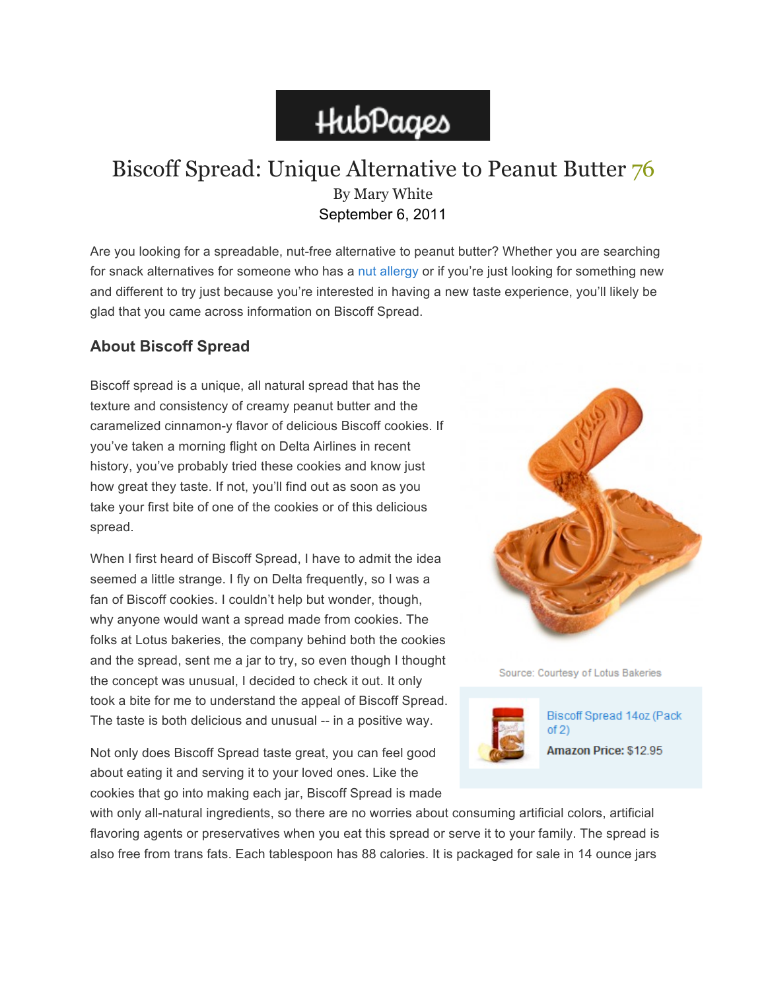# HubPages

# Biscoff Spread: Unique Alternative to Peanut Butter 76 By Mary White September 6, 2011

Are you looking for a spreadable, nut-free alternative to peanut butter? Whether you are searching for snack alternatives for someone who has a nut allergy or if you're just looking for something new and different to try just because you're interested in having a new taste experience, you'll likely be glad that you came across information on Biscoff Spread.

## **About Biscoff Spread**

Biscoff spread is a unique, all natural spread that has the texture and consistency of creamy peanut butter and the caramelized cinnamon-y flavor of delicious Biscoff cookies. If you've taken a morning flight on Delta Airlines in recent history, you've probably tried these cookies and know just how great they taste. If not, you'll find out as soon as you take your first bite of one of the cookies or of this delicious spread.

When I first heard of Biscoff Spread, I have to admit the idea seemed a little strange. I fly on Delta frequently, so I was a fan of Biscoff cookies. I couldn't help but wonder, though, why anyone would want a spread made from cookies. The folks at Lotus bakeries, the company behind both the cookies and the spread, sent me a jar to try, so even though I thought the concept was unusual, I decided to check it out. It only took a bite for me to understand the appeal of Biscoff Spread. The taste is both delicious and unusual -- in a positive way.

Not only does Biscoff Spread taste great, you can feel good about eating it and serving it to your loved ones. Like the cookies that go into making each jar, Biscoff Spread is made



Source: Courtesy of Lotus Bakeries



Biscoff Spread 14oz (Pack  $of 2)$ Amazon Price: \$12.95

with only all-natural ingredients, so there are no worries about consuming artificial colors, artificial flavoring agents or preservatives when you eat this spread or serve it to your family. The spread is also free from trans fats. Each tablespoon has 88 calories. It is packaged for sale in 14 ounce jars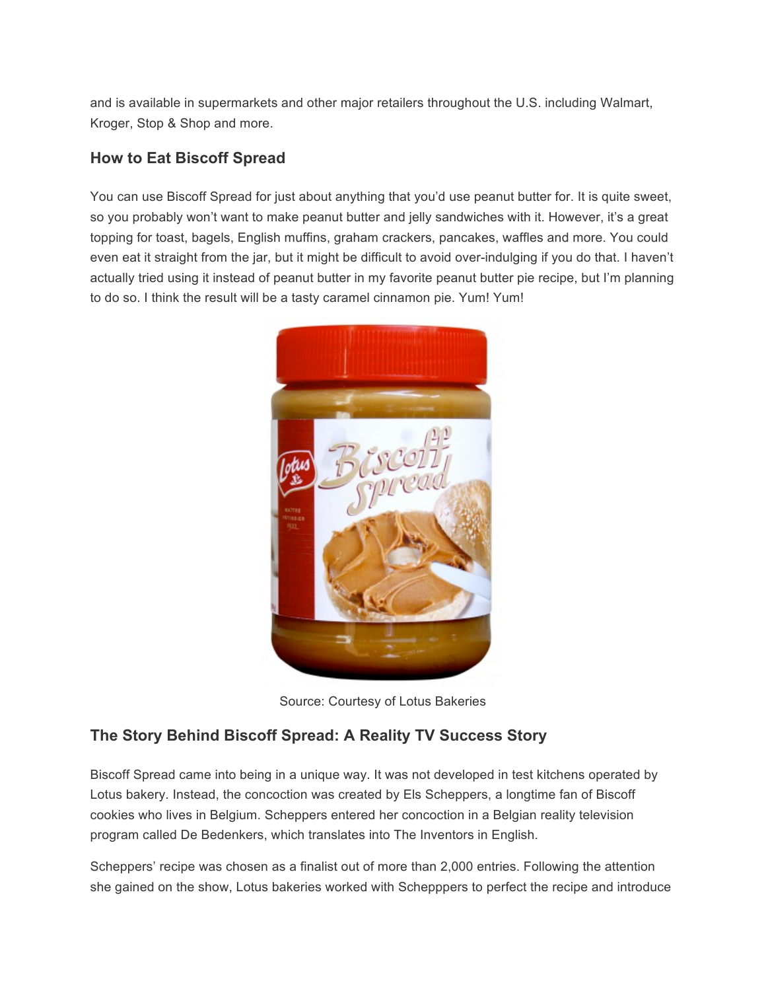and is available in supermarkets and other major retailers throughout the U.S. including Walmart, Kroger, Stop & Shop and more.

### **How to Eat Biscoff Spread**

You can use Biscoff Spread for just about anything that you'd use peanut butter for. It is quite sweet, so you probably won't want to make peanut butter and jelly sandwiches with it. However, it's a great topping for toast, bagels, English muffins, graham crackers, pancakes, waffles and more. You could even eat it straight from the jar, but it might be difficult to avoid over-indulging if you do that. I haven't actually tried using it instead of peanut butter in my favorite peanut butter pie recipe, but I'm planning to do so. I think the result will be a tasty caramel cinnamon pie. Yum! Yum!



Source: Courtesy of Lotus Bakeries

### **The Story Behind Biscoff Spread: A Reality TV Success Story**

Biscoff Spread came into being in a unique way. It was not developed in test kitchens operated by Lotus bakery. Instead, the concoction was created by Els Scheppers, a longtime fan of Biscoff cookies who lives in Belgium. Scheppers entered her concoction in a Belgian reality television program called De Bedenkers, which translates into The Inventors in English.

Scheppers' recipe was chosen as a finalist out of more than 2,000 entries. Following the attention she gained on the show, Lotus bakeries worked with Schepppers to perfect the recipe and introduce